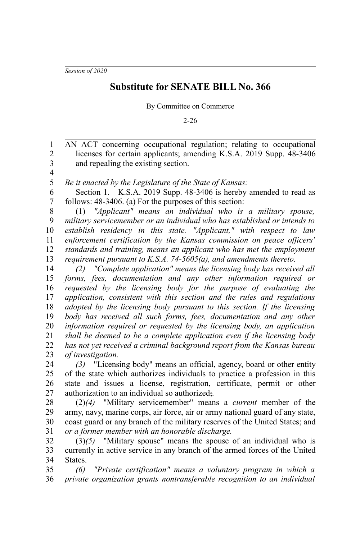*Session of 2020*

## **Substitute for SENATE BILL No. 366**

By Committee on Commerce

2-26

AN ACT concerning occupational regulation; relating to occupational licenses for certain applicants; amending K.S.A. 2019 Supp. 48-3406 and repealing the existing section. 1 2 3

4

*Be it enacted by the Legislature of the State of Kansas:* 5

Section 1. K.S.A. 2019 Supp. 48-3406 is hereby amended to read as follows: 48-3406. (a) For the purposes of this section: 6 7

(1) *"Applicant" means an individual who is a military spouse, military servicemember or an individual who has established or intends to establish residency in this state. "Applicant," with respect to law enforcement certification by the Kansas commission on peace officers' standards and training, means an applicant who has met the employment requirement pursuant to K.S.A. 74-5605(a), and amendments thereto.* 8 9 10 11 12 13

*(2) "Complete application" means the licensing body has received all forms, fees, documentation and any other information required or requested by the licensing body for the purpose of evaluating the application, consistent with this section and the rules and regulations adopted by the licensing body pursuant to this section. If the licensing body has received all such forms, fees, documentation and any other information required or requested by the licensing body, an application shall be deemed to be a complete application even if the licensing body has not yet received a criminal background report from the Kansas bureau of investigation.* 14 15 16 17 18 19 20 21 22 23

*(3)* "Licensing body" means an official, agency, board or other entity of the state which authorizes individuals to practice a profession in this state and issues a license, registration, certificate, permit or other authorization to an individual so authorized;*.* 24 25 26 27

(2)*(4)* "Military servicemember" means a *current* member of the army, navy, marine corps, air force, air or army national guard of any state, coast guard or any branch of the military reserves of the United States; and *or a former member with an honorable discharge.* 28 29 30 31

(3)*(5)* "Military spouse" means the spouse of an individual who is currently in active service in any branch of the armed forces of the United States. 32 33 34

*(6) "Private certification" means a voluntary program in which a private organization grants nontransferable recognition to an individual* 35 36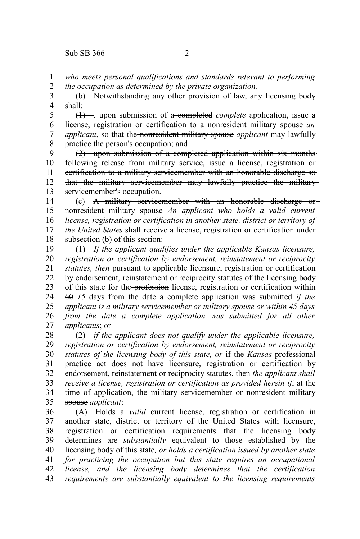*who meets personal qualifications and standards relevant to performing the occupation as determined by the private organization.* 1 2

(b) Notwithstanding any other provision of law, any licensing body shall: 3 4

(1) –, upon submission of a completed *complete* application, issue a license, registration or certification to a nonresident military spouse *an applicant*, so that the nonresident military spouse *applicant* may lawfully practice the person's occupation; and 5 6 7 8

(2) upon submission of a completed application within six months following release from military service, issue a license, registration or certification to a military servicemember with an honorable discharge so that the military servicemember may lawfully practice the military servicemember's occupation. 9 10 11 12 13

(c) A military servicemember with an honorable discharge or nonresident military spouse *An applicant who holds a valid current license, registration or certification in another state, district or territory of the United States* shall receive a license, registration or certification under subsection (b) of this section: 14 15 16 17 18

(1) *If the applicant qualifies under the applicable Kansas licensure, registration or certification by endorsement, reinstatement or reciprocity statutes, then* pursuant to applicable licensure, registration or certification by endorsement, reinstatement or reciprocity statutes of the licensing body of this state for the profession license, registration or certification within 60 *15* days from the date a complete application was submitted *if the applicant is a military servicemember or military spouse or within 45 days from the date a complete application was submitted for all other applicants*; or 19 20 21 22 23 24 25 26 27

(2) *if the applicant does not qualify under the applicable licensure, registration or certification by endorsement, reinstatement or reciprocity statutes of the licensing body of this state, or* if the *Kansas* professional practice act does not have licensure, registration or certification by endorsement, reinstatement or reciprocity statutes, then *the applicant shall receive a license, registration or certification as provided herein if*, at the time of application, the military servicemember or nonresident militaryspouse *applicant*: 28 29 30 31 32 33 34 35

(A) Holds a *valid* current license, registration or certification in another state, district or territory of the United States with licensure, registration or certification requirements that the licensing body determines are *substantially* equivalent to those established by the licensing body of this state*, or holds a certification issued by another state for practicing the occupation but this state requires an occupational license, and the licensing body determines that the certification requirements are substantially equivalent to the licensing requirements* 36 37 38 39 40 41 42 43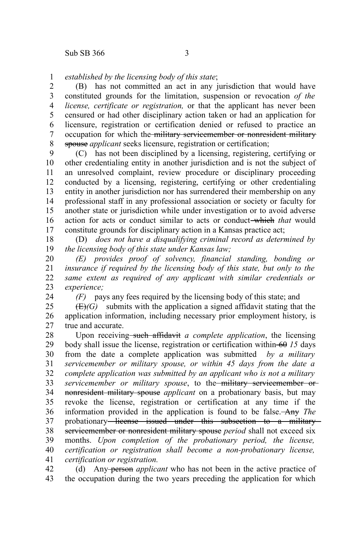*established by the licensing body of this state*; 1

(B) has not committed an act in any jurisdiction that would have constituted grounds for the limitation, suspension or revocation *of the license, certificate or registration,* or that the applicant has never been censured or had other disciplinary action taken or had an application for licensure, registration or certification denied or refused to practice an occupation for which the military servicemember or nonresident military spouse *applicant* seeks licensure, registration or certification; 2 3 4 5 6 7 8

(C) has not been disciplined by a licensing, registering, certifying or other credentialing entity in another jurisdiction and is not the subject of an unresolved complaint, review procedure or disciplinary proceeding conducted by a licensing, registering, certifying or other credentialing entity in another jurisdiction nor has surrendered their membership on any professional staff in any professional association or society or faculty for another state or jurisdiction while under investigation or to avoid adverse action for acts or conduct similar to acts or conduct which *that* would constitute grounds for disciplinary action in a Kansas practice act; 9 10 11 12 13 14 15 16 17

(D) *does not have a disqualifying criminal record as determined by the licensing body of this state under Kansas law;* 18 19

*(E) provides proof of solvency, financial standing, bonding or insurance if required by the licensing body of this state, but only to the same extent as required of any applicant with similar credentials or experience;* 20 21 22 23

24

*(F)* pays any fees required by the licensing body of this state; and

 $(E)(G)$  submits with the application a signed affidavit stating that the application information, including necessary prior employment history, is true and accurate. 25 26 27

Upon receiving such affidavit *a complete application*, the licensing body shall issue the license, registration or certification within 60 *15* days from the date a complete application was submitted *by a military servicemember or military spouse, or within 45 days from the date a complete application was submitted by an applicant who is not a military servicemember or military spouse*, to the military servicemember or nonresident military spouse *applicant* on a probationary basis, but may revoke the license, registration or certification at any time if the information provided in the application is found to be false. Any *The* probationary<del> license issued under this subsection to a military</del> servicemember or nonresident military spouse *period* shall not exceed six months. *Upon completion of the probationary period, the license, certification or registration shall become a non-probationary license, certification or registration.* 28 29 30 31 32 33 34 35 36 37 38 39 40 41

(d) Any person *applicant* who has not been in the active practice of the occupation during the two years preceding the application for which 42 43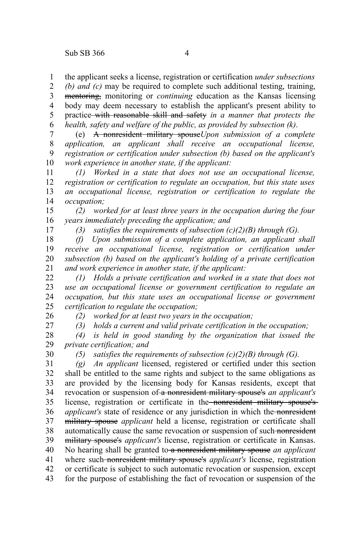the applicant seeks a license, registration or certification *under subsections* 1

*(b) and (c)* may be required to complete such additional testing, training, mentoring, monitoring or *continuing* education as the Kansas licensing body may deem necessary to establish the applicant's present ability to practice with reasonable skill and safety *in a manner that protects the health, safety and welfare of the public, as provided by subsection (k)*. 2 3 4 5 6

(e) A nonresident military spouse*Upon submission of a complete application, an applicant shall receive an occupational license, registration or certification under subsection (b) based on the applicant's work experience in another state, if the applicant:* 7 8 9 10

*(1) Worked in a state that does not use an occupational license, registration or certification to regulate an occupation, but this state uses an occupational license, registration or certification to regulate the occupation;* 11 12 13 14

*(2) worked for at least three years in the occupation during the four years immediately preceding the application; and* 15 16

*(3) satisfies the requirements of subsection (c)(2)(B) through (G).*

*(f) Upon submission of a complete application, an applicant shall receive an occupational license, registration or certification under subsection (b) based on the applicant's holding of a private certification and work experience in another state, if the applicant:* 18 19 20 21

*(1) Holds a private certification and worked in a state that does not use an occupational license or government certification to regulate an occupation, but this state uses an occupational license or government certification to regulate the occupation;* 22 23 24 25

*(2) worked for at least two years in the occupation;*

*(3) holds a current and valid private certification in the occupation;*

*(4) is held in good standing by the organization that issued the private certification; and* 28 29

30

26 27

17

*(5) satisfies the requirements of subsection (c)(2)(B) through (G).*

*(g) An applicant* licensed, registered or certified under this section shall be entitled to the same rights and subject to the same obligations as are provided by the licensing body for Kansas residents, except that revocation or suspension of a nonresident military spouse's *an applicant's* license, registration or certificate in the nonresident military spouse's *applicant's* state of residence or any jurisdiction in which the nonresident military spouse *applicant* held a license, registration or certificate shall automatically cause the same revocation or suspension of such nonresident military spouse's *applicant's* license, registration or certificate in Kansas. No hearing shall be granted to a nonresident military spouse *an applicant* where such nonresident military spouse's *applicant's* license, registration or certificate is subject to such automatic revocation or suspension*,* except 31 32 33 34 35 36 37 38 39 40 41 42

for the purpose of establishing the fact of revocation or suspension of the 43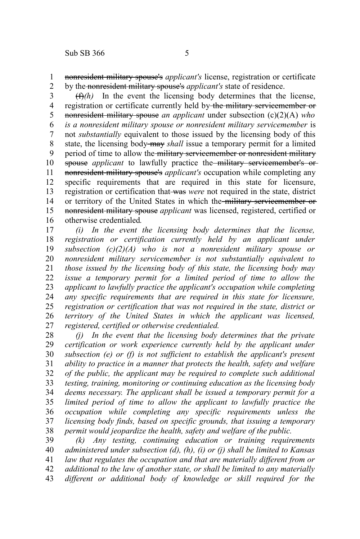nonresident military spouse's *applicant's* license, registration or certificate by the nonresident military spouse's *applicant's* state of residence. 1 2

 $(f)$ *(h)* In the event the licensing body determines that the license, registration or certificate currently held by the military servicemember or nonresident military spouse *an applicant* under subsection (c)(2)(A) *who is a nonresident military spouse or nonresident military servicemember* is not *substantially* equivalent to those issued by the licensing body of this state, the licensing body may *shall* issue a temporary permit for a limited period of time to allow the military servicemember or nonresident military spouse *applicant* to lawfully practice the military servicemember's ornonresident military spouse's *applicant's* occupation while completing any specific requirements that are required in this state for licensure, registration or certification that was *were* not required in the state, district or territory of the United States in which the military servicemember or nonresident military spouse *applicant* was licensed, registered, certified or otherwise credentialed*.* 3 4 5 6 7 8 9 10 11 12 13 14 15 16

*(i) In the event the licensing body determines that the license, registration or certification currently held by an applicant under subsection (c)(2)(A) who is not a nonresident military spouse or nonresident military servicemember is not substantially equivalent to those issued by the licensing body of this state, the licensing body may issue a temporary permit for a limited period of time to allow the applicant to lawfully practice the applicant's occupation while completing any specific requirements that are required in this state for licensure, registration or certification that was not required in the state, district or territory of the United States in which the applicant was licensed, registered, certified or otherwise credentialed.* 17 18 19 20 21 22 23 24 25 26 27

*(j) In the event that the licensing body determines that the private certification or work experience currently held by the applicant under subsection (e) or (f) is not sufficient to establish the applicant's present ability to practice in a manner that protects the health, safety and welfare of the public, the applicant may be required to complete such additional testing, training, monitoring or continuing education as the licensing body deems necessary. The applicant shall be issued a temporary permit for a limited period of time to allow the applicant to lawfully practice the occupation while completing any specific requirements unless the licensing body finds, based on specific grounds, that issuing a temporary permit would jeopardize the health, safety and welfare of the public.* 28 29 30 31 32 33 34 35 36 37 38

*(k) Any testing, continuing education or training requirements administered under subsection (d), (h), (i) or (j) shall be limited to Kansas law that regulates the occupation and that are materially different from or additional to the law of another state, or shall be limited to any materially different or additional body of knowledge or skill required for the* 39 40 41 42 43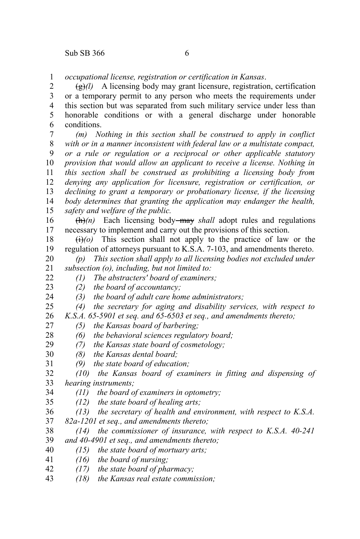*occupational license, registration or certification in Kansas*. 1

 $\left(\frac{g}{g}\right)$  A licensing body may grant licensure, registration, certification or a temporary permit to any person who meets the requirements under this section but was separated from such military service under less than honorable conditions or with a general discharge under honorable conditions. 2 3 4 5 6

*(m) Nothing in this section shall be construed to apply in conflict with or in a manner inconsistent with federal law or a multistate compact, or a rule or regulation or a reciprocal or other applicable statutory provision that would allow an applicant to receive a license. Nothing in this section shall be construed as prohibiting a licensing body from denying any application for licensure, registration or certification, or declining to grant a temporary or probationary license, if the licensing body determines that granting the application may endanger the health, safety and welfare of the public.* 7 8 9 10 11 12 13 14 15

 $(h)$ (h)<sup>(n)</sup> Each licensing body—may *shall* adopt rules and regulations necessary to implement and carry out the provisions of this section. 16 17

 $\overrightarrow{(t)}$  This section shall not apply to the practice of law or the regulation of attorneys pursuant to K.S.A. 7-103, and amendments thereto. 18 19

*(p) This section shall apply to all licensing bodies not excluded under subsection (o), including, but not limited to:* 20 21

*(1) The abstracters' board of examiners;*

 $22$ 23 24

*(2) the board of accountancy; (3) the board of adult care home administrators;*

*(4) the secretary for aging and disability services, with respect to* 25

*K.S.A. 65-5901 et seq. and 65-6503 et seq., and amendments thereto;* 26

- *(5) the Kansas board of barbering;* 27
- *(6) the behavioral sciences regulatory board;* 28
- *(7) the Kansas state board of cosmetology;* 29
- *(8) the Kansas dental board;* 30
- *(9) the state board of education;* 31
- *(10) the Kansas board of examiners in fitting and dispensing of hearing instruments;* 32 33
- *(11) the board of examiners in optometry;* 34
- *(12) the state board of healing arts;* 35
- *(13) the secretary of health and environment, with respect to K.S.A. 82a-1201 et seq., and amendments thereto;* 36 37

*(14) the commissioner of insurance, with respect to K.S.A. 40-241 and 40-4901 et seq., and amendments thereto;* 38 39

*(15) the state board of mortuary arts;* 40

*(16) the board of nursing;* 41

*(17) the state board of pharmacy;* 42

*(18) the Kansas real estate commission;* 43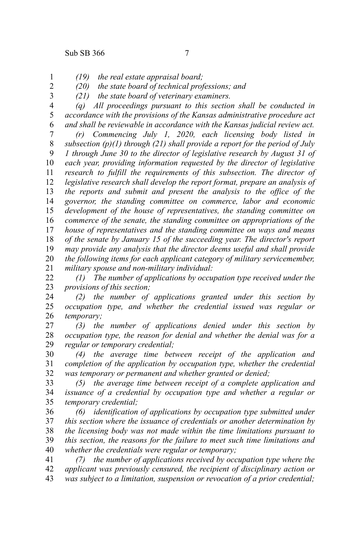2 3

- *(19) the real estate appraisal board;* 1
	- *(20) the state board of technical professions; and*
	- *(21) the state board of veterinary examiners.*
- *(q) All proceedings pursuant to this section shall be conducted in accordance with the provisions of the Kansas administrative procedure act and shall be reviewable in accordance with the Kansas judicial review act.* 4 5 6

*(r) Commencing July 1, 2020, each licensing body listed in subsection (p)(1) through (21) shall provide a report for the period of July 1 through June 30 to the director of legislative research by August 31 of each year, providing information requested by the director of legislative research to fulfill the requirements of this subsection. The director of legislative research shall develop the report format, prepare an analysis of the reports and submit and present the analysis to the office of the governor, the standing committee on commerce, labor and economic development of the house of representatives, the standing committee on commerce of the senate, the standing committee on appropriations of the house of representatives and the standing committee on ways and means of the senate by January 15 of the succeeding year. The director's report may provide any analysis that the director deems useful and shall provide the following items for each applicant category of military servicemember, military spouse and non-military individual:* 7 8 9 10 11 12 13 14 15 16 17 18 19 20 21

*(1) The number of applications by occupation type received under the provisions of this section;* 22 23

- *(2) the number of applications granted under this section by occupation type, and whether the credential issued was regular or temporary;* 24 25 26
- *(3) the number of applications denied under this section by occupation type, the reason for denial and whether the denial was for a regular or temporary credential;* 27 28 29

*(4) the average time between receipt of the application and completion of the application by occupation type, whether the credential was temporary or permanent and whether granted or denied;*  30 31 32

*(5) the average time between receipt of a complete application and issuance of a credential by occupation type and whether a regular or temporary credential;* 33 34 35

*(6) identification of applications by occupation type submitted under this section where the issuance of credentials or another determination by the licensing body was not made within the time limitations pursuant to this section, the reasons for the failure to meet such time limitations and whether the credentials were regular or temporary;* 36 37 38 39 40

*(7) the number of applications received by occupation type where the applicant was previously censured, the recipient of disciplinary action or was subject to a limitation, suspension or revocation of a prior credential;* 41 42 43